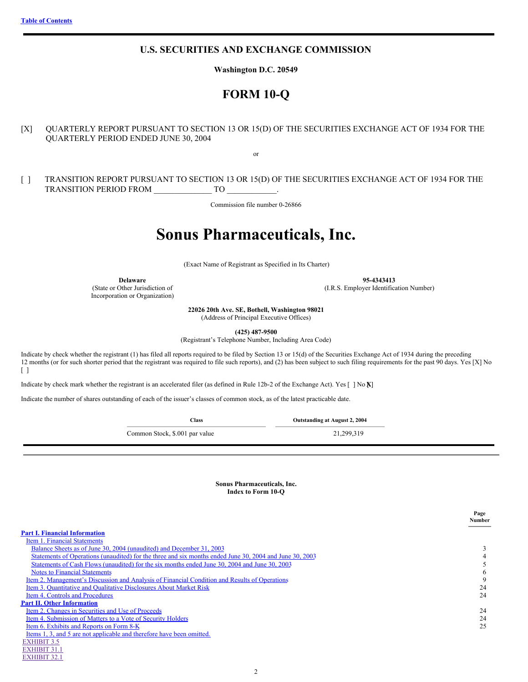[EXHIBIT](#page-30-0) 32.1

## **U.S. SECURITIES AND EXCHANGE COMMISSION**

**Washington D.C. 20549**

## **FORM 10-Q**

[X] QUARTERLY REPORT PURSUANT TO SECTION 13 OR 15(D) OF THE SECURITIES EXCHANGE ACT OF 1934 FOR THE QUARTERLY PERIOD ENDED JUNE 30, 2004

or

[ ] TRANSITION REPORT PURSUANT TO SECTION 13 OR 15(D) OF THE SECURITIES EXCHANGE ACT OF 1934 FOR THE TRANSITION PERIOD FROM TO

Commission file number 0-26866

# **Sonus Pharmaceuticals, Inc.**

(Exact Name of Registrant as Specified in Its Charter)

**Delaware** 95-4343413<br>
(State or Other Jurisdiction of the state of the state of the state of the state of the state of the state of the state of the state of the state of the state of the state of the state of the state o

Incorporation or Organization)

(I.R.S. Employer Identification Number)

**22026 20th Ave. SE, Bothell, Washington 98021**

(Address of Principal Executive Offices)

**(425) 487-9500**

(Registrant's Telephone Number, Including Area Code)

Indicate by check whether the registrant (1) has filed all reports required to be filed by Section 13 or 15(d) of the Securities Exchange Act of 1934 during the preceding 12 months (or for such shorter period that the registrant was required to file such reports), and (2) has been subject to such filing requirements for the past 90 days. Yes [X] No [ ]

Indicate by check mark whether the registrant is an accelerated filer (as defined in Rule 12b-2 of the Exchange Act). Yes [ ] No **X**[ ]

Indicate the number of shares outstanding of each of the issuer's classes of common stock, as of the latest practicable date.

**Class Outstanding at August 2, 2004**

Common Stock, \$.001 par value 21,299,319

**Sonus Pharmaceuticals, Inc. Index to Form 10-Q**

<span id="page-0-0"></span>

|                                                                                                         | Page<br>Number |
|---------------------------------------------------------------------------------------------------------|----------------|
| <b>Part I. Financial Information</b>                                                                    |                |
| Item 1. Financial Statements                                                                            |                |
| Balance Sheets as of June 30, 2004 (unaudited) and December 31, 2003                                    | 3              |
| Statements of Operations (unaudited) for the three and six months ended June 30, 2004 and June 30, 2003 |                |
| Statements of Cash Flows (unaudited) for the six months ended June 30, 2004 and June 30, 2003           |                |
| <b>Notes to Financial Statements</b>                                                                    | 6              |
| Item 2. Management's Discussion and Analysis of Financial Condition and Results of Operations           | 9              |
| Item 3. Quantitative and Qualitative Disclosures About Market Risk                                      | 24             |
| Item 4. Controls and Procedures                                                                         | 24             |
| <b>Part II. Other Information</b>                                                                       |                |
| Item 2. Changes in Securities and Use of Proceeds                                                       | 24             |
| Item 4. Submission of Matters to a Vote of Security Holders                                             | 24             |
| Item 6. Exhibits and Reports on Form 8-K                                                                | 25             |
| Items 1, 3, and 5 are not applicable and therefore have been omitted.                                   |                |
| <b>EXHIBIT 3.5</b>                                                                                      |                |
| <b>EXHIBIT 31.1</b>                                                                                     |                |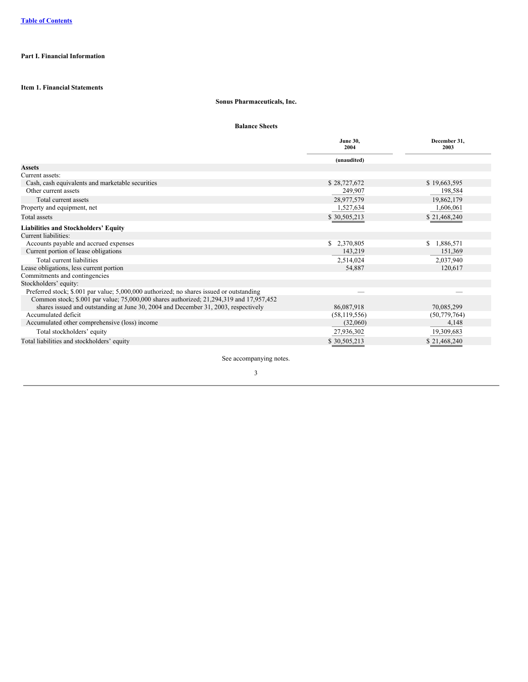## <span id="page-2-1"></span><span id="page-2-0"></span>**Part I. Financial Information**

## **Item 1. Financial Statements**

## **Sonus Pharmaceuticals, Inc.**

## **Balance Sheets**

<span id="page-2-2"></span>

|                                                                                          | <b>June 30,</b><br>2004 | December 31,<br>2003 |
|------------------------------------------------------------------------------------------|-------------------------|----------------------|
|                                                                                          | (unaudited)             |                      |
| <b>Assets</b>                                                                            |                         |                      |
| Current assets:                                                                          |                         |                      |
| Cash, cash equivalents and marketable securities                                         | \$28,727,672            | \$19,663,595         |
| Other current assets                                                                     | 249,907                 | 198,584              |
| Total current assets                                                                     | 28,977,579              | 19,862,179           |
| Property and equipment, net                                                              | 1,527,634               | 1,606,061            |
| Total assets                                                                             | \$30,505,213            | \$21,468,240         |
| <b>Liabilities and Stockholders' Equity</b>                                              |                         |                      |
| Current liabilities:                                                                     |                         |                      |
| Accounts payable and accrued expenses                                                    | \$2,370,805             | \$1,886,571          |
| Current portion of lease obligations                                                     | 143,219                 | 151,369              |
| Total current liabilities                                                                | 2,514,024               | 2,037,940            |
| Lease obligations, less current portion                                                  | 54,887                  | 120,617              |
| Commitments and contingencies                                                            |                         |                      |
| Stockholders' equity:                                                                    |                         |                      |
| Preferred stock; \$.001 par value; 5,000,000 authorized; no shares issued or outstanding |                         |                      |
| Common stock; \$.001 par value; 75,000,000 shares authorized; 21,294,319 and 17,957,452  |                         |                      |
| shares issued and outstanding at June 30, 2004 and December 31, 2003, respectively       | 86,087,918              | 70,085,299           |
| Accumulated deficit                                                                      | (58, 119, 556)          | (50, 779, 764)       |
| Accumulated other comprehensive (loss) income                                            | (32,060)                | 4,148                |
| Total stockholders' equity                                                               | 27,936,302              | 19,309,683           |
| Total liabilities and stockholders' equity                                               | \$30,505,213            | \$21,468,240         |

See accompanying notes.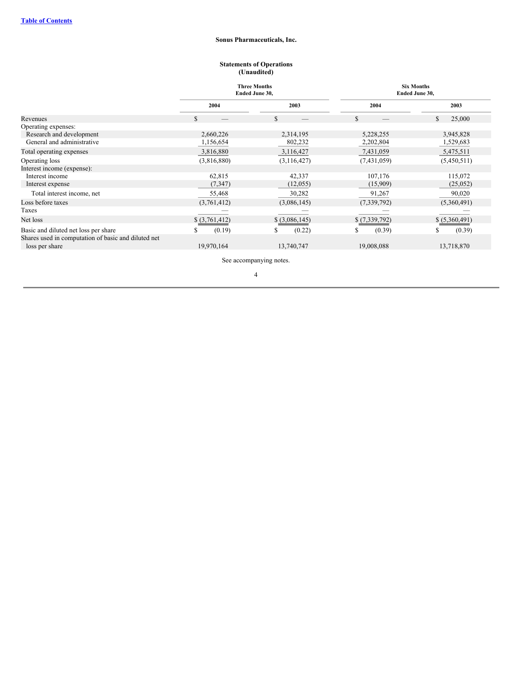## **Sonus Pharmaceuticals, Inc.**

#### **Statements of Operations (Unaudited)**

<span id="page-3-0"></span>

|                                                     |                | <b>Three Months</b><br>Ended June 30, |               | <b>Six Months</b><br>Ended June 30, |
|-----------------------------------------------------|----------------|---------------------------------------|---------------|-------------------------------------|
|                                                     | 2004<br>2003   |                                       | 2004          | 2003                                |
| Revenues                                            | S.             | \$                                    | \$            | 25,000<br>S.                        |
| Operating expenses:                                 |                |                                       |               |                                     |
| Research and development                            | 2,660,226      | 2,314,195                             | 5,228,255     | 3,945,828                           |
| General and administrative                          | 1,156,654      | 802,232                               | 2,202,804     | 1,529,683                           |
| Total operating expenses                            | 3,816,880      | 3,116,427                             | 7,431,059     | 5,475,511                           |
| Operating loss                                      | (3,816,880)    | (3,116,427)                           | (7,431,059)   | (5,450,511)                         |
| Interest income (expense):                          |                |                                       |               |                                     |
| Interest income                                     | 62,815         | 42,337                                | 107,176       | 115,072                             |
| Interest expense                                    | (7, 347)       | (12,055)                              | (15,909)      | (25,052)                            |
| Total interest income, net                          | 55,468         | 30,282                                | 91,267        | 90,020                              |
| Loss before taxes                                   | (3,761,412)    | (3,086,145)                           | (7, 339, 792) | (5,360,491)                         |
| Taxes                                               |                |                                       |               |                                     |
| Net loss                                            | \$ (3,761,412) | $$$ $(3,086,145)$                     | \$(7,339,792) | \$ (5,360,491)                      |
| Basic and diluted net loss per share                | (0.19)         | (0.22)<br>S                           | (0.39)        | (0.39)                              |
| Shares used in computation of basic and diluted net |                |                                       |               |                                     |
| loss per share                                      | 19,970,164     | 13,740,747                            | 19,008,088    | 13,718,870                          |

See accompanying notes.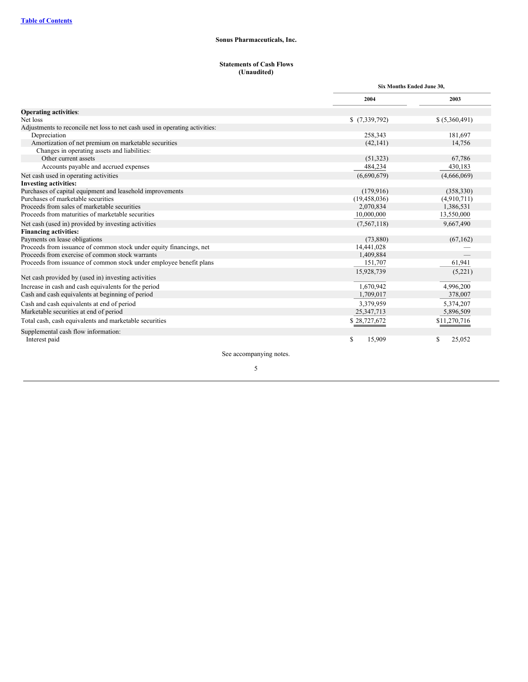## **Sonus Pharmaceuticals, Inc.**

#### **Statements of Cash Flows (Unaudited)**

<span id="page-4-0"></span>

|                                                                             | Six Months Ended June 30, |                |
|-----------------------------------------------------------------------------|---------------------------|----------------|
|                                                                             | 2004                      | 2003           |
| <b>Operating activities:</b>                                                |                           |                |
| Net loss                                                                    | \$(7,339,792)             | \$ (5,360,491) |
| Adjustments to reconcile net loss to net cash used in operating activities: |                           |                |
| Depreciation                                                                | 258,343                   | 181,697        |
| Amortization of net premium on marketable securities                        | (42, 141)                 | 14,756         |
| Changes in operating assets and liabilities:                                |                           |                |
| Other current assets                                                        | (51, 323)                 | 67,786         |
| Accounts payable and accrued expenses                                       | 484,234                   | 430,183        |
| Net cash used in operating activities                                       | (6,690,679)               | (4,666,069)    |
| <b>Investing activities:</b>                                                |                           |                |
| Purchases of capital equipment and leasehold improvements                   | (179, 916)                | (358, 330)     |
| Purchases of marketable securities                                          | (19, 458, 036)            | (4,910,711)    |
| Proceeds from sales of marketable securities                                | 2,070,834                 | 1,386,531      |
| Proceeds from maturities of marketable securities                           | 10,000,000                | 13,550,000     |
| Net cash (used in) provided by investing activities                         | (7,567,118)               | 9,667,490      |
| <b>Financing activities:</b>                                                |                           |                |
| Payments on lease obligations                                               | (73,880)                  | (67, 162)      |
| Proceeds from issuance of common stock under equity financings, net         | 14,441,028                |                |
| Proceeds from exercise of common stock warrants                             | 1,409,884                 |                |
| Proceeds from issuance of common stock under employee benefit plans         | 151,707                   | 61,941         |
| Net cash provided by (used in) investing activities                         | 15,928,739                | (5,221)        |
| Increase in cash and cash equivalents for the period                        | 1,670,942                 | 4,996,200      |
| Cash and cash equivalents at beginning of period                            | 1,709,017                 | 378,007        |
|                                                                             |                           |                |
| Cash and cash equivalents at end of period                                  | 3,379,959                 | 5,374,207      |
| Marketable securities at end of period                                      | 25, 347, 713              | 5,896,509      |
| Total cash, cash equivalents and marketable securities                      | \$28,727,672              | \$11,270,716   |
| Supplemental cash flow information:                                         |                           |                |
| Interest paid                                                               | S<br>15,909               | 25,052<br>\$   |
|                                                                             |                           |                |

See accompanying notes.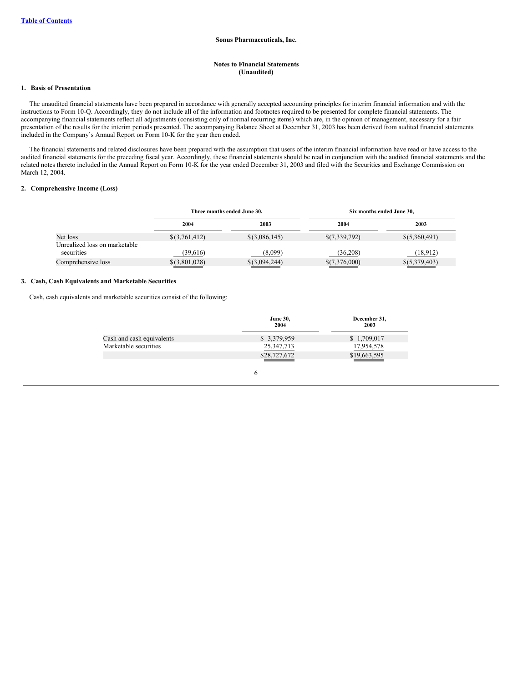#### **Notes to Financial Statements (Unaudited)**

#### <span id="page-5-0"></span>**1. Basis of Presentation**

The unaudited financial statements have been prepared in accordance with generally accepted accounting principles for interim financial information and with the instructions to Form 10-Q. Accordingly, they do not include all of the information and footnotes required to be presented for complete financial statements. The accompanying financial statements reflect all adjustments (consisting only of normal recurring items) which are, in the opinion of management, necessary for a fair presentation of the results for the interim periods presented. The accompanying Balance Sheet at December 31, 2003 has been derived from audited financial statements included in the Company's Annual Report on Form 10-K for the year then ended.

The financial statements and related disclosures have been prepared with the assumption that users of the interim financial information have read or have access to the audited financial statements for the preceding fiscal year. Accordingly, these financial statements should be read in conjunction with the audited financial statements and the related notes thereto included in the Annual Report on Form 10-K for the year ended December 31, 2003 and filed with the Securities and Exchange Commission on March 12, 2004.

## **2. Comprehensive Income (Loss)**

|                                             |                 | Three months ended June 30, |               | Six months ended June 30, |
|---------------------------------------------|-----------------|-----------------------------|---------------|---------------------------|
|                                             | 2004            | 2003                        | 2004          | 2003                      |
| Net loss                                    | $$$ (3,761,412) | $$$ (3,086,145)             | \$(7,339,792) | $\{(5,360,491)\}$         |
| Unrealized loss on marketable<br>securities | (39,616)        | (8,099)                     | (36,208)      | (18.912)                  |
| Comprehensive loss                          | \$(3,801,028)   | \$(3,094,244)               | \$(7,376,000) | \$(5,379,403)             |

#### **3. Cash, Cash Equivalents and Marketable Securities**

Cash, cash equivalents and marketable securities consist of the following:

|                           | <b>June 30,</b><br>2004 | December 31,<br>2003 |
|---------------------------|-------------------------|----------------------|
| Cash and cash equivalents | \$ 3,379,959            | \$1,709,017          |
| Marketable securities     | 25, 347, 713            | 17,954,578           |
|                           | \$28,727,672            | \$19,663,595         |
|                           |                         |                      |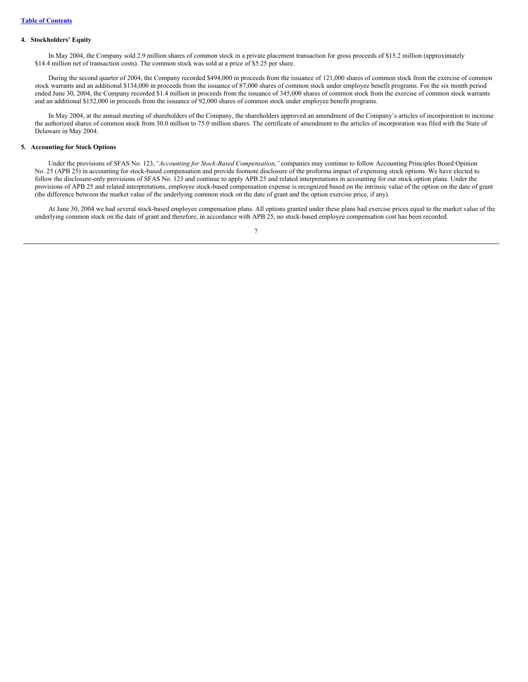#### **4. Stockholders' Equity**

In May 2004, the Company sold 2.9 million shares of common stock in a private placement transaction for gross proceeds of \$15.2 million (approximately \$14.4 million net of transaction costs). The common stock was sold at a price of \$5.25 per share.

During the second quarter of 2004, the Company recorded \$494,000 in proceeds from the issuance of 121,000 shares of common stock from the exercise of common stock warrants and an additional \$134,000 in proceeds from the issuance of 87,000 shares of common stock under employee benefit programs. For the six month period ended June 30, 2004, the Company recorded \$1.4 million in proceeds from the issuance of 345,000 shares of common stock from the exercise of common stock warrants and an additional \$152,000 in proceeds from the issuance of 92,000 shares of common stock under employee benefit programs.

In May 2004, at the annual meeting of shareholders of the Company, the shareholders approved an amendment of the Company's articles of incorporation to increase the authorized shares of common stock from 30.0 million to 75.0 million shares. The certificate of amendment to the articles of incorporation was filed with the State of Delaware in May 2004.

#### **5. Accounting for Stock Options**

Under the provisions of SFAS No. 123,*"Accounting for Stock-Based Compensation,"* companies may continue to follow Accounting Principles Board Opinion No. 25 (APB 25) in accounting for stock-based compensation and provide footnote disclosure of the proforma impact of expensing stock options. We have elected to follow the disclosure-only provisions of SFAS No. 123 and continue to apply APB 25 and related interpretations in accounting for our stock option plans. Under the provisions of APB 25 and related interpretations, employee stock-based compensation expense is recognized based on the intrinsic value of the option on the date of grant (the difference between the market value of the underlying common stock on the date of grant and the option exercise price, if any).

At June 30, 2004 we had several stock-based employee compensation plans. All options granted under these plans had exercise prices equal to the market value of the underlying common stock on the date of grant and therefore, in accordance with APB 25, no stock-based employee compensation cost has been recorded.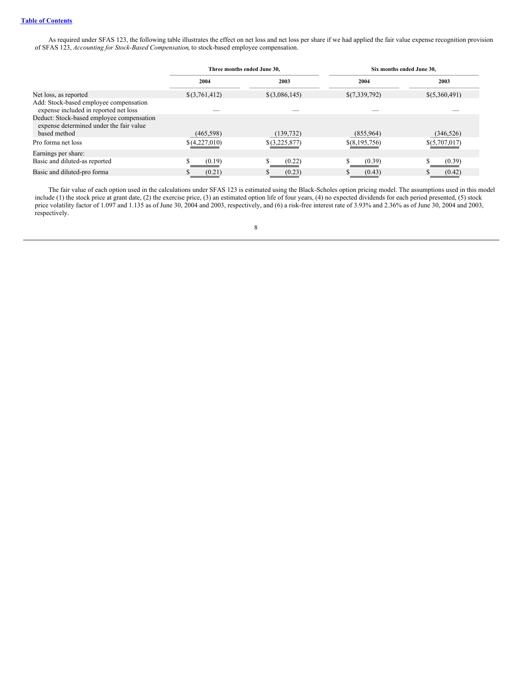As required under SFAS 123, the following table illustrates the effect on net loss and net loss per share if we had applied the fair value expense recognition provision of SFAS 123, *Accounting for Stock-Based Compensation*, to stock-based employee compensation.

|                                                                                      | Three months ended June 30. |                 | Six months ended June 30. |               |
|--------------------------------------------------------------------------------------|-----------------------------|-----------------|---------------------------|---------------|
|                                                                                      | 2004                        | 2003            | 2004                      | 2003          |
| Net loss, as reported                                                                | \$(3,761,412)               | $$$ (3,086,145) | \$(7,339,792)             | \$(5,360,491) |
| Add: Stock-based employee compensation<br>expense included in reported net loss      |                             |                 |                           |               |
| Deduct: Stock-based employee compensation<br>expense determined under the fair value |                             |                 |                           |               |
| based method                                                                         | (465,598)                   | (139, 732)      | (855,964)                 | (346, 526)    |
| Pro forma net loss                                                                   | \$(4,227,010)               | \$(3,225,877)   | \$(8,195,756)             | \$(5,707,017) |
| Earnings per share:                                                                  |                             |                 |                           |               |
| Basic and diluted-as reported                                                        | (0.19)                      | (0.22)          | S<br>(0.39)               | (0.39)        |
| Basic and diluted-pro forma                                                          | (0.21)                      | (0.23)          | (0.43)<br>D.              | (0.42)        |

The fair value of each option used in the calculations under SFAS 123 is estimated using the Black-Scholes option pricing model. The assumptions used in this model include (1) the stock price at grant date, (2) the exercise price, (3) an estimated option life of four years, (4) no expected dividends for each period presented, (5) stock price volatility factor of 1.097 and 1.135 as of June 30, 2004 and 2003, respectively, and (6) a risk-free interest rate of 3.93% and 2.36% as of June 30, 2004 and 2003, respectively.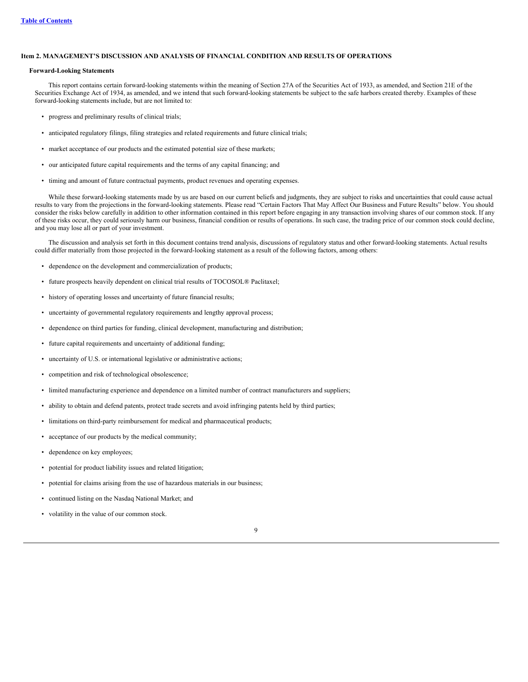#### <span id="page-8-0"></span>**Item 2. MANAGEMENT'S DISCUSSION AND ANALYSIS OF FINANCIAL CONDITION AND RESULTS OF OPERATIONS**

#### **Forward-Looking Statements**

This report contains certain forward-looking statements within the meaning of Section 27A of the Securities Act of 1933, as amended, and Section 21E of the Securities Exchange Act of 1934, as amended, and we intend that such forward-looking statements be subject to the safe harbors created thereby. Examples of these forward-looking statements include, but are not limited to:

- progress and preliminary results of clinical trials;
- anticipated regulatory filings, filing strategies and related requirements and future clinical trials;
- market acceptance of our products and the estimated potential size of these markets;
- our anticipated future capital requirements and the terms of any capital financing; and
- timing and amount of future contractual payments, product revenues and operating expenses.

While these forward-looking statements made by us are based on our current beliefs and judgments, they are subject to risks and uncertainties that could cause actual results to vary from the projections in the forward-looking statements. Please read "Certain Factors That May Affect Our Business and Future Results" below. You should consider the risks below carefully in addition to other information contained in this report before engaging in any transaction involving shares of our common stock. If any of these risks occur, they could seriously harm our business, financial condition or results of operations. In such case, the trading price of our common stock could decline, and you may lose all or part of your investment.

The discussion and analysis set forth in this document contains trend analysis, discussions of regulatory status and other forward-looking statements. Actual results could differ materially from those projected in the forward-looking statement as a result of the following factors, among others:

- dependence on the development and commercialization of products;
- future prospects heavily dependent on clinical trial results of TOCOSOL® Paclitaxel;
- history of operating losses and uncertainty of future financial results;
- uncertainty of governmental regulatory requirements and lengthy approval process;
- dependence on third parties for funding, clinical development, manufacturing and distribution;
- future capital requirements and uncertainty of additional funding;
- uncertainty of U.S. or international legislative or administrative actions;
- competition and risk of technological obsolescence;
- limited manufacturing experience and dependence on a limited number of contract manufacturers and suppliers;
- ability to obtain and defend patents, protect trade secrets and avoid infringing patents held by third parties;
- limitations on third-party reimbursement for medical and pharmaceutical products;
- acceptance of our products by the medical community;
- dependence on key employees;
- potential for product liability issues and related litigation;
- potential for claims arising from the use of hazardous materials in our business;
- continued listing on the Nasdaq National Market; and
- volatility in the value of our common stock.

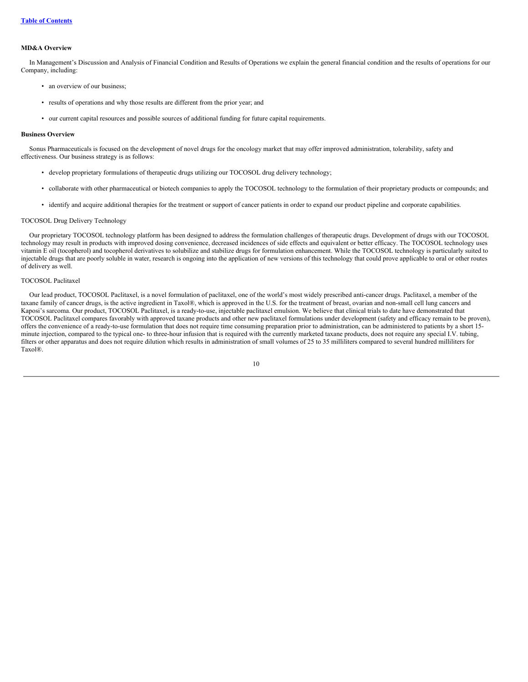#### **MD&A Overview**

In Management's Discussion and Analysis of Financial Condition and Results of Operations we explain the general financial condition and the results of operations for our Company, including:

- an overview of our business;
- results of operations and why those results are different from the prior year; and
- our current capital resources and possible sources of additional funding for future capital requirements.

#### **Business Overview**

Sonus Pharmaceuticals is focused on the development of novel drugs for the oncology market that may offer improved administration, tolerability, safety and effectiveness. Our business strategy is as follows:

- develop proprietary formulations of therapeutic drugs utilizing our TOCOSOL drug delivery technology;
- collaborate with other pharmaceutical or biotech companies to apply the TOCOSOL technology to the formulation of their proprietary products or compounds; and
- identify and acquire additional therapies for the treatment or support of cancer patients in order to expand our product pipeline and corporate capabilities.

#### TOCOSOL Drug Delivery Technology

Our proprietary TOCOSOL technology platform has been designed to address the formulation challenges of therapeutic drugs. Development of drugs with our TOCOSOL technology may result in products with improved dosing convenience, decreased incidences of side effects and equivalent or better efficacy. The TOCOSOL technology uses vitamin E oil (tocopherol) and tocopherol derivatives to solubilize and stabilize drugs for formulation enhancement. While the TOCOSOL technology is particularly suited to injectable drugs that are poorly soluble in water, research is ongoing into the application of new versions of this technology that could prove applicable to oral or other routes of delivery as well.

## TOCOSOL Paclitaxel

Our lead product, TOCOSOL Paclitaxel, is a novel formulation of paclitaxel, one of the world's most widely prescribed anti-cancer drugs. Paclitaxel, a member of the taxane family of cancer drugs, is the active ingredient in Taxol®, which is approved in the U.S. for the treatment of breast, ovarian and non-small cell lung cancers and Kaposi's sarcoma. Our product, TOCOSOL Paclitaxel, is a ready-to-use, injectable paclitaxel emulsion. We believe that clinical trials to date have demonstrated that TOCOSOL Paclitaxel compares favorably with approved taxane products and other new paclitaxel formulations under development (safety and efficacy remain to be proven), offers the convenience of a ready-to-use formulation that does not require time consuming preparation prior to administration, can be administered to patients by a short 15 minute injection, compared to the typical one- to three-hour infusion that is required with the currently marketed taxane products, does not require any special I.V. tubing, filters or other apparatus and does not require dilution which results in administration of small volumes of 25 to 35 milliliters compared to several hundred milliliters for Taxol®.

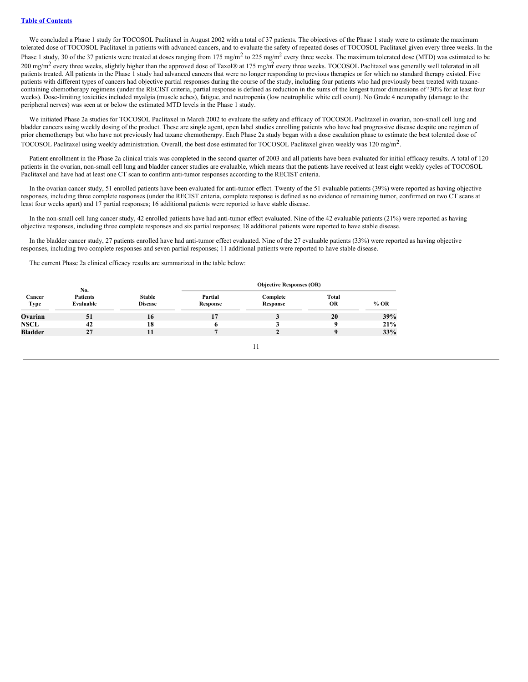We concluded a Phase 1 study for TOCOSOL Paclitaxel in August 2002 with a total of 37 patients. The objectives of the Phase 1 study were to estimate the maximum tolerated dose of TOCOSOL Paclitaxel in patients with advanced cancers, and to evaluate the safety of repeated doses of TOCOSOL Paclitaxel given every three weeks. In the Phase 1 study, 30 of the 37 patients were treated at doses ranging from 175 mg/m<sup>2</sup> to 225 mg/m<sup>2</sup> every three weeks. The maximum tolerated dose (MTD) was estimated to be 200 mg/m<sup>2</sup> every three weeks, slightly higher than the approved dose of Taxol® at 175 mg/m<sup>2</sup> every three weeks. TOCOSOL Paclitaxel was generally well tolerated in all patients treated. All patients in the Phase 1 study had advanced cancers that were no longer responding to previous therapies or for which no standard therapy existed. Five patients with different types of cancers had objective partial responses during the course of the study, including four patients who had previously been treated with taxanecontaining chemotherapy regimens (under the RECIST criteria, partial response is defined as reduction in the sums of the longest tumor dimensions of 330% for at least four weeks). Dose-limiting toxicities included myalgia (muscle aches), fatigue, and neutropenia (low neutrophilic white cell count). No Grade 4 neuropathy (damage to the peripheral nerves) was seen at or below the estimated MTD levels in the Phase 1 study.

We initiated Phase 2a studies for TOCOSOL Paclitaxel in March 2002 to evaluate the safety and efficacy of TOCOSOL Paclitaxel in ovarian, non-small cell lung and bladder cancers using weekly dosing of the product. These are single agent, open label studies enrolling patients who have had progressive disease despite one regimen of prior chemotherapy but who have not previously had taxane chemotherapy. Each Phase 2a study began with a dose escalation phase to estimate the best tolerated dose of TOCOSOL Paclitaxel using weekly administration. Overall, the best dose estimated for TOCOSOL Paclitaxel given weekly was 120 mg/m<sup>2</sup>.

Patient enrollment in the Phase 2a clinical trials was completed in the second quarter of 2003 and all patients have been evaluated for initial efficacy results. A total of 120 patients in the ovarian, non-small cell lung and bladder cancer studies are evaluable, which means that the patients have received at least eight weekly cycles of TOCOSOL Paclitaxel and have had at least one CT scan to confirm anti-tumor responses according to the RECIST criteria.

In the ovarian cancer study, 51 enrolled patients have been evaluated for anti-tumor effect. Twenty of the 51 evaluable patients (39%) were reported as having objective responses, including three complete responses (under the RECIST criteria, complete response is defined as no evidence of remaining tumor, confirmed on two CT scans at least four weeks apart) and 17 partial responses; 16 additional patients were reported to have stable disease.

In the non-small cell lung cancer study, 42 enrolled patients have had anti-tumor effect evaluated. Nine of the 42 evaluable patients (21%) were reported as having objective responses, including three complete responses and six partial responses; 18 additional patients were reported to have stable disease.

In the bladder cancer study, 27 patients enrolled have had anti-tumor effect evaluated. Nine of the 27 evaluable patients (33%) were reported as having objective responses, including two complete responses and seven partial responses; 11 additional patients were reported to have stable disease.

The current Phase 2a clinical efficacy results are summarized in the table below:

|                       | No.                          |                                 | <b>Objective Responses (OR)</b> |                      |                    |        |
|-----------------------|------------------------------|---------------------------------|---------------------------------|----------------------|--------------------|--------|
| Cancer<br><b>Type</b> | <b>Patients</b><br>Evaluable | <b>Stable</b><br><b>Disease</b> | Partial<br>Response             | Complete<br>Response | Total<br><b>OR</b> | $%$ OR |
| Ovarian               | 51                           | 16                              | 17                              |                      | 20                 | 39%    |
| <b>NSCL</b>           | 42                           | 18                              | o                               |                      | q                  | 21%    |
| <b>Bladder</b>        | 27                           |                                 | п                               |                      |                    | 33%    |
|                       |                              |                                 |                                 |                      |                    |        |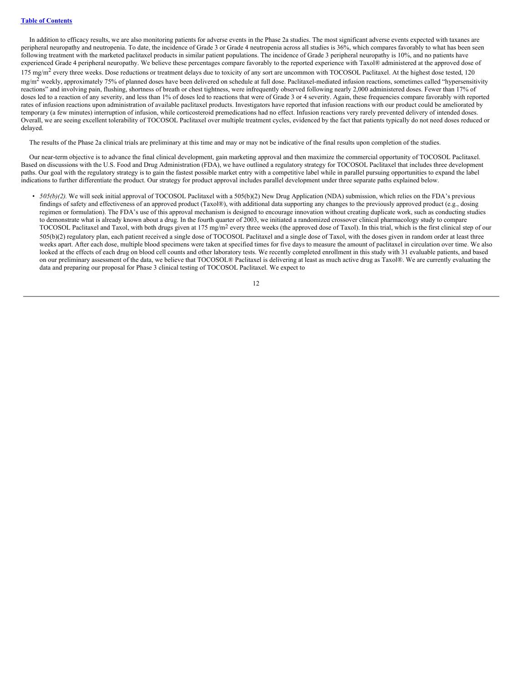In addition to efficacy results, we are also monitoring patients for adverse events in the Phase 2a studies. The most significant adverse events expected with taxanes are peripheral neuropathy and neutropenia. To date, the incidence of Grade 3 or Grade 4 neutropenia across all studies is 36%, which compares favorably to what has been seen following treatment with the marketed paclitaxel products in similar patient populations. The incidence of Grade 3 peripheral neuropathy is 10%, and no patients have experienced Grade 4 peripheral neuropathy. We believe these percentages compare favorably to the reported experience with Taxol® administered at the approved dose of  $175 \text{ mg/m}^2$  every three weeks. Dose reductions or treatment delays due to toxicity of any sort are uncommon with TOCOSOL Paclitaxel. At the highest dose tested, 120  $mg/m<sup>2</sup>$  weekly, approximately 75% of planned doses have been delivered on schedule at full dose. Paclitaxel-mediated infusion reactions, sometimes called "hypersensitivity" reactions" and involving pain, flushing, shortness of breath or chest tightness, were infrequently observed following nearly 2,000 administered doses. Fewer than 17% of doses led to a reaction of any severity, and less than 1% of doses led to reactions that were of Grade 3 or 4 severity. Again, these frequencies compare favorably with reported rates of infusion reactions upon administration of available paclitaxel products. Investigators have reported that infusion reactions with our product could be ameliorated by temporary (a few minutes) interruption of infusion, while corticosteroid premedications had no effect. Infusion reactions very rarely prevented delivery of intended doses. Overall, we are seeing excellent tolerability of TOCOSOL Paclitaxel over multiple treatment cycles, evidenced by the fact that patients typically do not need doses reduced or delayed.

The results of the Phase 2a clinical trials are preliminary at this time and may or may not be indicative of the final results upon completion of the studies.

Our near-term objective is to advance the final clinical development, gain marketing approval and then maximize the commercial opportunity of TOCOSOL Paclitaxel. Based on discussions with the U.S. Food and Drug Administration (FDA), we have outlined a regulatory strategy for TOCOSOL Paclitaxel that includes three development paths. Our goal with the regulatory strategy is to gain the fastest possible market entry with a competitive label while in parallel pursuing opportunities to expand the label indications to further differentiate the product. Our strategy for product approval includes parallel development under three separate paths explained below.

• *505(b)(2)*. We will seek initial approval of TOCOSOL Paclitaxel with a 505(b)(2) New Drug Application (NDA) submission, which relies on the FDA's previous findings of safety and effectiveness of an approved product (Taxol®), with additional data supporting any changes to the previously approved product (e.g., dosing regimen or formulation). The FDA's use of this approval mechanism is designed to encourage innovation without creating duplicate work, such as conducting studies to demonstrate what is already known about a drug. In the fourth quarter of 2003, we initiated a randomized crossover clinical pharmacology study to compare TOCOSOL Paclitaxel and Taxol, with both drugs given at 175 mg/m2 every three weeks (the approved dose of Taxol). In this trial, which is the first clinical step of our 505(b)(2) regulatory plan, each patient received a single dose of TOCOSOL Paclitaxel and a single dose of Taxol, with the doses given in random order at least three weeks apart. After each dose, multiple blood specimens were taken at specified times for five days to measure the amount of paclitaxel in circulation over time. We also looked at the effects of each drug on blood cell counts and other laboratory tests. We recently completed enrollment in this study with 31 evaluable patients, and based on our preliminary assessment of the data, we believe that TOCOSOL® Paclitaxel is delivering at least as much active drug as Taxol®. We are currently evaluating the data and preparing our proposal for Phase 3 clinical testing of TOCOSOL Paclitaxel. We expect to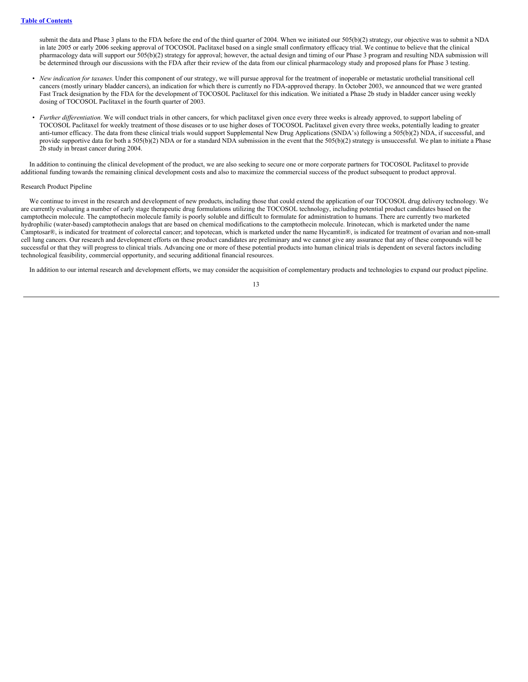submit the data and Phase 3 plans to the FDA before the end of the third quarter of 2004. When we initiated our 505(b)(2) strategy, our objective was to submit a NDA in late 2005 or early 2006 seeking approval of TOCOSOL Paclitaxel based on a single small confirmatory efficacy trial. We continue to believe that the clinical pharmacology data will support our 505(b)(2) strategy for approval; however, the actual design and timing of our Phase 3 program and resulting NDA submission will be determined through our discussions with the FDA after their review of the data from our clinical pharmacology study and proposed plans for Phase 3 testing.

- *New indication for taxanes.* Under this component of our strategy, we will pursue approval for the treatment of inoperable or metastatic urothelial transitional cell cancers (mostly urinary bladder cancers), an indication for which there is currently no FDA-approved therapy. In October 2003, we announced that we were granted Fast Track designation by the FDA for the development of TOCOSOL Paclitaxel for this indication. We initiated a Phase 2b study in bladder cancer using weekly dosing of TOCOSOL Paclitaxel in the fourth quarter of 2003.
- *Further differentiation*. We will conduct trials in other cancers, for which paclitaxel given once every three weeks is already approved, to support labeling of TOCOSOL Paclitaxel for weekly treatment of those diseases or to use higher doses of TOCOSOL Paclitaxel given every three weeks, potentially leading to greater anti-tumor efficacy. The data from these clinical trials would support Supplemental New Drug Applications (SNDA's) following a 505(b)(2) NDA, if successful, and provide supportive data for both a 505(b)(2) NDA or for a standard NDA submission in the event that the 505(b)(2) strategy is unsuccessful. We plan to initiate a Phase 2b study in breast cancer during 2004.

In addition to continuing the clinical development of the product, we are also seeking to secure one or more corporate partners for TOCOSOL Paclitaxel to provide additional funding towards the remaining clinical development costs and also to maximize the commercial success of the product subsequent to product approval.

#### Research Product Pipeline

We continue to invest in the research and development of new products, including those that could extend the application of our TOCOSOL drug delivery technology. We are currently evaluating a number of early stage therapeutic drug formulations utilizing the TOCOSOL technology, including potential product candidates based on the camptothecin molecule. The camptothecin molecule family is poorly soluble and difficult to formulate for administration to humans. There are currently two marketed hydrophilic (water-based) camptothecin analogs that are based on chemical modifications to the camptothecin molecule. Irinotecan, which is marketed under the name Camptosar®, is indicated for treatment of colorectal cancer; and topotecan, which is marketed under the name Hycamtin®, is indicated for treatment of ovarian and non-small cell lung cancers. Our research and development efforts on these product candidates are preliminary and we cannot give any assurance that any of these compounds will be successful or that they will progress to clinical trials. Advancing one or more of these potential products into human clinical trials is dependent on several factors including technological feasibility, commercial opportunity, and securing additional financial resources.

In addition to our internal research and development efforts, we may consider the acquisition of complementary products and technologies to expand our product pipeline.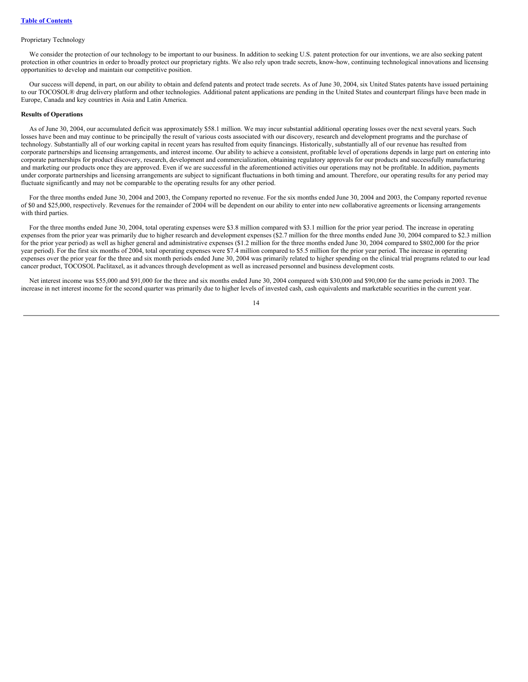#### Proprietary Technology

We consider the protection of our technology to be important to our business. In addition to seeking U.S. patent protection for our inventions, we are also seeking patent protection in other countries in order to broadly protect our proprietary rights. We also rely upon trade secrets, know-how, continuing technological innovations and licensing opportunities to develop and maintain our competitive position.

Our success will depend, in part, on our ability to obtain and defend patents and protect trade secrets. As of June 30, 2004, six United States patents have issued pertaining to our TOCOSOL® drug delivery platform and other technologies. Additional patent applications are pending in the United States and counterpart filings have been made in Europe, Canada and key countries in Asia and Latin America.

#### **Results of Operations**

As of June 30, 2004, our accumulated deficit was approximately \$58.1 million. We may incur substantial additional operating losses over the next several years. Such losses have been and may continue to be principally the result of various costs associated with our discovery, research and development programs and the purchase of technology. Substantially all of our working capital in recent years has resulted from equity financings. Historically, substantially all of our revenue has resulted from corporate partnerships and licensing arrangements, and interest income. Our ability to achieve a consistent, profitable level of operations depends in large part on entering into corporate partnerships for product discovery, research, development and commercialization, obtaining regulatory approvals for our products and successfully manufacturing and marketing our products once they are approved. Even if we are successful in the aforementioned activities our operations may not be profitable. In addition, payments under corporate partnerships and licensing arrangements are subject to significant fluctuations in both timing and amount. Therefore, our operating results for any period may fluctuate significantly and may not be comparable to the operating results for any other period.

For the three months ended June 30, 2004 and 2003, the Company reported no revenue. For the six months ended June 30, 2004 and 2003, the Company reported revenue of \$0 and \$25,000, respectively. Revenues for the remainder of 2004 will be dependent on our ability to enter into new collaborative agreements or licensing arrangements with third parties.

For the three months ended June 30, 2004, total operating expenses were \$3.8 million compared with \$3.1 million for the prior year period. The increase in operating expenses from the prior year was primarily due to higher research and development expenses (\$2.7 million for the three months ended June 30, 2004 compared to \$2.3 million for the prior year period) as well as higher general and administrative expenses (\$1.2 million for the three months ended June 30, 2004 compared to \$802,000 for the prior year period). For the first six months of 2004, total operating expenses were \$7.4 million compared to \$5.5 million for the prior year period. The increase in operating expenses over the prior year for the three and six month periods ended June 30, 2004 was primarily related to higher spending on the clinical trial programs related to our lead cancer product, TOCOSOL Paclitaxel, as it advances through development as well as increased personnel and business development costs.

Net interest income was \$55,000 and \$91,000 for the three and six months ended June 30, 2004 compared with \$30,000 and \$90,000 for the same periods in 2003. The increase in net interest income for the second quarter was primarily due to higher levels of invested cash, cash equivalents and marketable securities in the current year.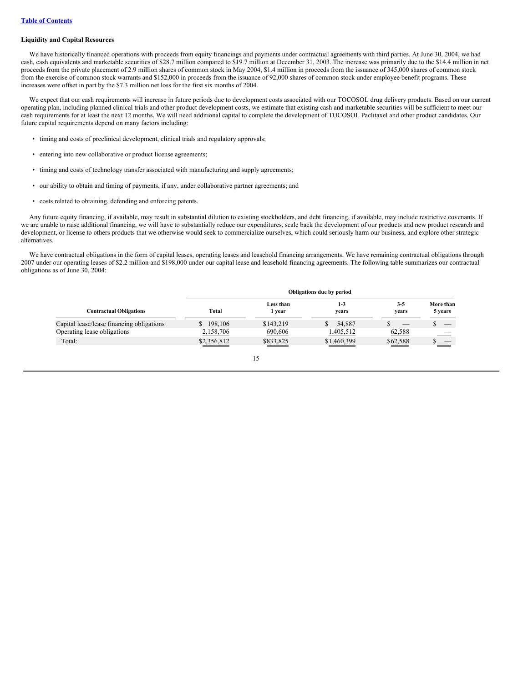#### **Liquidity and Capital Resources**

We have historically financed operations with proceeds from equity financings and payments under contractual agreements with third parties. At June 30, 2004, we had cash, cash equivalents and marketable securities of \$28.7 million compared to \$19.7 million at December 31, 2003. The increase was primarily due to the \$14.4 million in net proceeds from the private placement of 2.9 million shares of common stock in May 2004, \$1.4 million in proceeds from the issuance of 345,000 shares of common stock from the exercise of common stock warrants and \$152,000 in proceeds from the issuance of 92,000 shares of common stock under employee benefit programs. These increases were offset in part by the \$7.3 million net loss for the first six months of 2004.

We expect that our cash requirements will increase in future periods due to development costs associated with our TOCOSOL drug delivery products. Based on our current operating plan, including planned clinical trials and other product development costs, we estimate that existing cash and marketable securities will be sufficient to meet our cash requirements for at least the next 12 months. We will need additional capital to complete the development of TOCOSOL Paclitaxel and other product candidates. Our future capital requirements depend on many factors including:

- timing and costs of preclinical development, clinical trials and regulatory approvals;
- entering into new collaborative or product license agreements;
- timing and costs of technology transfer associated with manufacturing and supply agreements;
- our ability to obtain and timing of payments, if any, under collaborative partner agreements; and
- costs related to obtaining, defending and enforcing patents.

Any future equity financing, if available, may result in substantial dilution to existing stockholders, and debt financing, if available, may include restrictive covenants. If we are unable to raise additional financing, we will have to substantially reduce our expenditures, scale back the development of our products and new product research and development, or license to others products that we otherwise would seek to commercialize ourselves, which could seriously harm our business, and explore other strategic alternatives.

We have contractual obligations in the form of capital leases, operating leases and leasehold financing arrangements. We have remaining contractual obligations through 2007 under our operating leases of \$2.2 million and \$198,000 under our capital lease and leasehold financing agreements. The following table summarizes our contractual obligations as of June 30, 2004:

|                                           |             |                     | Obligations due by period |                          |                          |
|-------------------------------------------|-------------|---------------------|---------------------------|--------------------------|--------------------------|
| <b>Contractual Obligations</b>            | Total       | Less than<br>1 year | $1 - 3$<br>vears          | $3-5$<br>vears           | More than<br>5 years     |
| Capital lease/lease financing obligations | 198,106     | \$143,219           | 54,887<br>S               | $\overline{\phantom{a}}$ | $\overline{\phantom{a}}$ |
| Operating lease obligations               | 2,158,706   | 690,606             | 1,405,512                 | 62,588                   |                          |
| Total:                                    | \$2,356,812 | \$833,825           | \$1,460,399               | \$62,588                 |                          |

15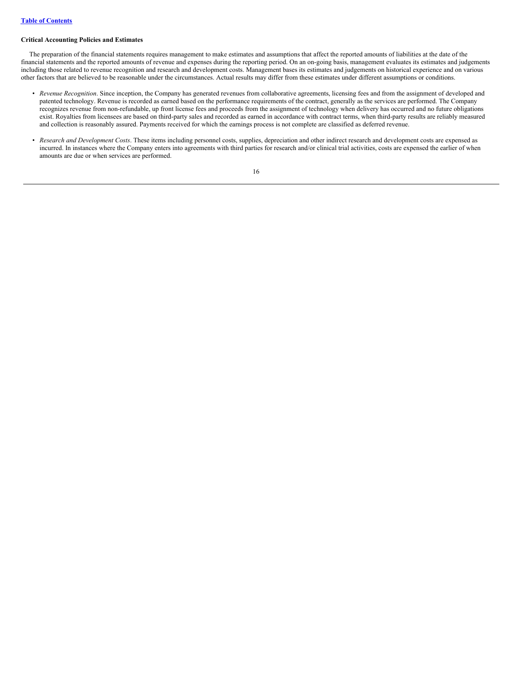#### **Critical Accounting Policies and Estimates**

The preparation of the financial statements requires management to make estimates and assumptions that affect the reported amounts of liabilities at the date of the financial statements and the reported amounts of revenue and expenses during the reporting period. On an on-going basis, management evaluates its estimates and judgements including those related to revenue recognition and research and development costs. Management bases its estimates and judgements on historical experience and on various other factors that are believed to be reasonable under the circumstances. Actual results may differ from these estimates under different assumptions or conditions.

- *Revenue Recognition*. Since inception, the Company has generated revenues from collaborative agreements, licensing fees and from the assignment of developed and patented technology. Revenue is recorded as earned based on the performance requirements of the contract, generally as the services are performed. The Company recognizes revenue from non-refundable, up front license fees and proceeds from the assignment of technology when delivery has occurred and no future obligations exist. Royalties from licensees are based on third-party sales and recorded as earned in accordance with contract terms, when third-party results are reliably measured and collection is reasonably assured. Payments received for which the earnings process is not complete are classified as deferred revenue.
- *Research and Development Costs*. These items including personnel costs, supplies, depreciation and other indirect research and development costs are expensed as incurred. In instances where the Company enters into agreements with third parties for research and/or clinical trial activities, costs are expensed the earlier of when amounts are due or when services are performed.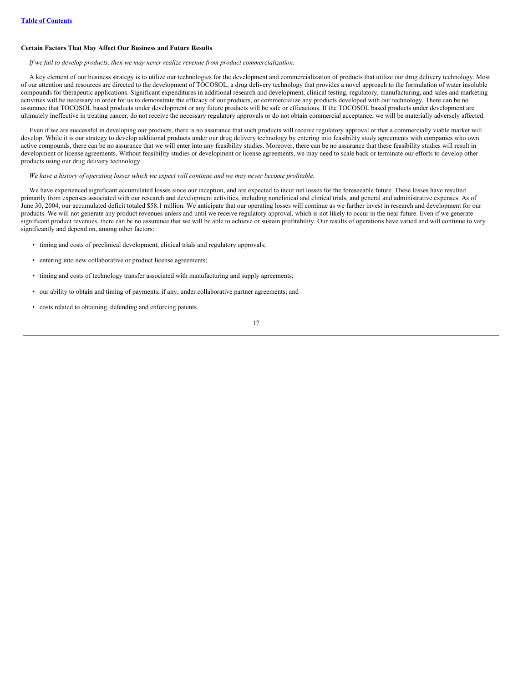## **Certain Factors That May Affect Our Business and Future Results**

#### *If we fail to develop products, then we may never realize revenue from product commercialization.*

A key element of our business strategy is to utilize our technologies for the development and commercialization of products that utilize our drug delivery technology. Most of our attention and resources are directed to the development of TOCOSOL, a drug delivery technology that provides a novel approach to the formulation of water insoluble compounds for therapeutic applications. Significant expenditures in additional research and development, clinical testing, regulatory, manufacturing, and sales and marketing activities will be necessary in order for us to demonstrate the efficacy of our products, or commercialize any products developed with our technology. There can be no assurance that TOCOSOL based products under development or any future products will be safe or efficacious. If the TOCOSOL based products under development are ultimately ineffective in treating cancer, do not receive the necessary regulatory approvals or do not obtain commercial acceptance, we will be materially adversely affected.

Even if we are successful in developing our products, there is no assurance that such products will receive regulatory approval or that a commercially viable market will develop. While it is our strategy to develop additional products under our drug delivery technology by entering into feasibility study agreements with companies who own active compounds, there can be no assurance that we will enter into any feasibility studies. Moreover, there can be no assurance that these feasibility studies will result in development or license agreements. Without feasibility studies or development or license agreements, we may need to scale back or terminate our efforts to develop other products using our drug delivery technology.

#### We have a history of operating losses which we expect will continue and we may never become profitable.

We have experienced significant accumulated losses since our inception, and are expected to incur net losses for the foreseeable future. These losses have resulted primarily from expenses associated with our research and development activities, including nonclinical and clinical trials, and general and administrative expenses. As of June 30, 2004, our accumulated deficit totaled \$58.1 million. We anticipate that our operating losses will continue as we further invest in research and development for our products. We will not generate any product revenues unless and until we receive regulatory approval, which is not likely to occur in the near future. Even if we generate significant product revenues, there can be no assurance that we will be able to achieve or sustain profitability. Our results of operations have varied and will continue to vary significantly and depend on, among other factors:

- timing and costs of preclinical development, clinical trials and regulatory approvals;
- entering into new collaborative or product license agreements;
- timing and costs of technology transfer associated with manufacturing and supply agreements;
- our ability to obtain and timing of payments, if any, under collaborative partner agreements; and
- costs related to obtaining, defending and enforcing patents.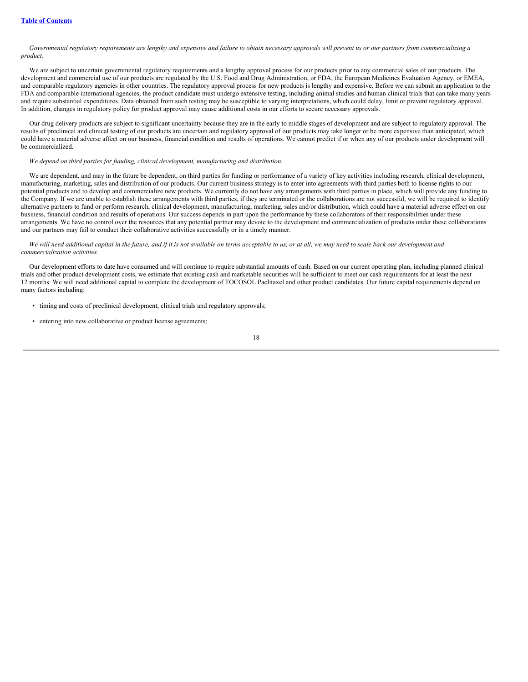Governmental regulatory requirements are lengthy and expensive and failure to obtain necessary approvals will prevent us or our partners from commercializing a *product.*

We are subject to uncertain governmental regulatory requirements and a lengthy approval process for our products prior to any commercial sales of our products. The development and commercial use of our products are regulated by the U.S. Food and Drug Administration, or FDA, the European Medicines Evaluation Agency, or EMEA, and comparable regulatory agencies in other countries. The regulatory approval process for new products is lengthy and expensive. Before we can submit an application to the FDA and comparable international agencies, the product candidate must undergo extensive testing, including animal studies and human clinical trials that can take many years and require substantial expenditures. Data obtained from such testing may be susceptible to varying interpretations, which could delay, limit or prevent regulatory approval. In addition, changes in regulatory policy for product approval may cause additional costs in our efforts to secure necessary approvals.

Our drug delivery products are subject to significant uncertainty because they are in the early to middle stages of development and are subject to regulatory approval. The results of preclinical and clinical testing of our products are uncertain and regulatory approval of our products may take longer or be more expensive than anticipated, which could have a material adverse affect on our business, financial condition and results of operations. We cannot predict if or when any of our products under development will be commercialized.

#### *We depend on third parties for funding, clinical development, manufacturing and distribution.*

We are dependent, and may in the future be dependent, on third parties for funding or performance of a variety of key activities including research, clinical development, manufacturing, marketing, sales and distribution of our products. Our current business strategy is to enter into agreements with third parties both to license rights to our potential products and to develop and commercialize new products. We currently do not have any arrangements with third parties in place, which will provide any funding to the Company. If we are unable to establish these arrangements with third parties, if they are terminated or the collaborations are not successful, we will be required to identify alternative partners to fund or perform research, clinical development, manufacturing, marketing, sales and/or distribution, which could have a material adverse effect on our business, financial condition and results of operations. Our success depends in part upon the performance by these collaborators of their responsibilities under these arrangements. We have no control over the resources that any potential partner may devote to the development and commercialization of products under these collaborations and our partners may fail to conduct their collaborative activities successfully or in a timely manner.

#### We will need additional capital in the future, and if it is not available on terms acceptable to us, or at all, we may need to scale back our development and *commercialization activities.*

Our development efforts to date have consumed and will continue to require substantial amounts of cash. Based on our current operating plan, including planned clinical trials and other product development costs, we estimate that existing cash and marketable securities will be sufficient to meet our cash requirements for at least the next 12 months. We will need additional capital to complete the development of TOCOSOL Paclitaxel and other product candidates. Our future capital requirements depend on many factors including:

- timing and costs of preclinical development, clinical trials and regulatory approvals;
- entering into new collaborative or product license agreements;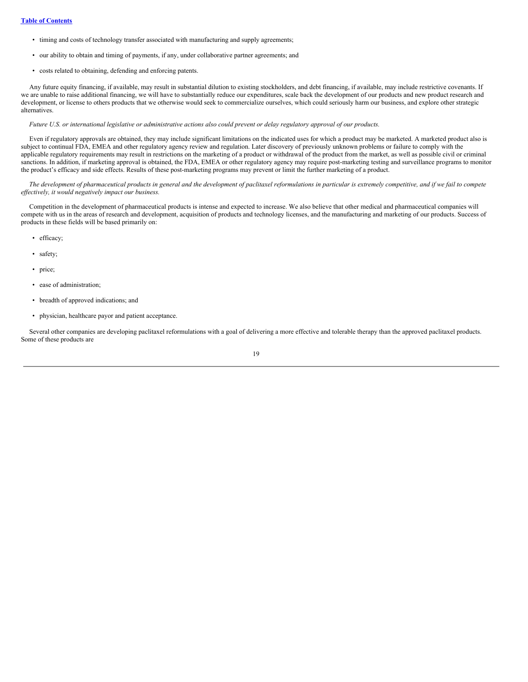- timing and costs of technology transfer associated with manufacturing and supply agreements;
- our ability to obtain and timing of payments, if any, under collaborative partner agreements; and
- costs related to obtaining, defending and enforcing patents.

Any future equity financing, if available, may result in substantial dilution to existing stockholders, and debt financing, if available, may include restrictive covenants. If we are unable to raise additional financing, we will have to substantially reduce our expenditures, scale back the development of our products and new product research and development, or license to others products that we otherwise would seek to commercialize ourselves, which could seriously harm our business, and explore other strategic alternatives.

#### Future U.S. or international legislative or administrative actions also could prevent or delay regulatory approval of our products.

Even if regulatory approvals are obtained, they may include significant limitations on the indicated uses for which a product may be marketed. A marketed product also is subject to continual FDA, EMEA and other regulatory agency review and regulation. Later discovery of previously unknown problems or failure to comply with the applicable regulatory requirements may result in restrictions on the marketing of a product or withdrawal of the product from the market, as well as possible civil or criminal sanctions. In addition, if marketing approval is obtained, the FDA, EMEA or other regulatory agency may require post-marketing testing and surveillance programs to monitor the product's efficacy and side effects. Results of these post-marketing programs may prevent or limit the further marketing of a product.

The development of pharmaceutical products in general and the development of paclitaxel reformulations in particular is extremely competitive, and if we fail to compete *ef ectively, it would negatively impact our business.*

Competition in the development of pharmaceutical products is intense and expected to increase. We also believe that other medical and pharmaceutical companies will compete with us in the areas of research and development, acquisition of products and technology licenses, and the manufacturing and marketing of our products. Success of products in these fields will be based primarily on:

- efficacy;
- safety;
- price;
- ease of administration;
- breadth of approved indications; and
- physician, healthcare payor and patient acceptance.

Several other companies are developing paclitaxel reformulations with a goal of delivering a more effective and tolerable therapy than the approved paclitaxel products. Some of these products are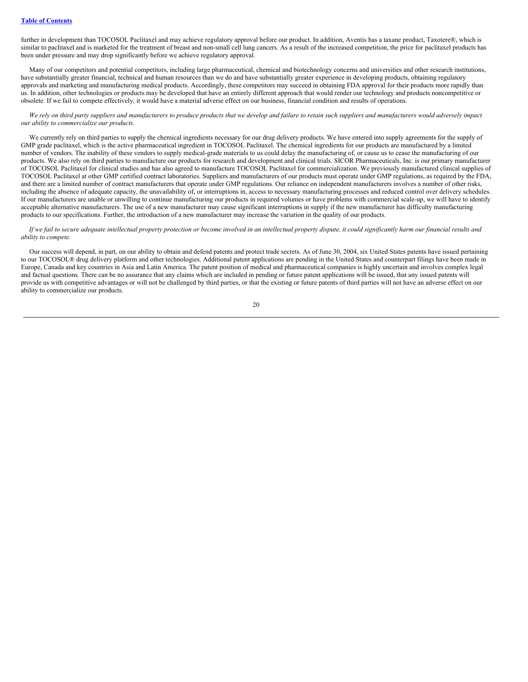further in development than TOCOSOL Paclitaxel and may achieve regulatory approval before our product. In addition, Aventis has a taxane product, Taxotere®, which is similar to paclitaxel and is marketed for the treatment of breast and non-small cell lung cancers. As a result of the increased competition, the price for paclitaxel products has been under pressure and may drop significantly before we achieve regulatory approval.

Many of our competitors and potential competitors, including large pharmaceutical, chemical and biotechnology concerns and universities and other research institutions, have substantially greater financial, technical and human resources than we do and have substantially greater experience in developing products, obtaining regulatory approvals and marketing and manufacturing medical products. Accordingly, these competitors may succeed in obtaining FDA approval for their products more rapidly than us. In addition, other technologies or products may be developed that have an entirely different approach that would render our technology and products noncompetitive or obsolete. If we fail to compete effectively, it would have a material adverse effect on our business, financial condition and results of operations.

#### We rely on third party suppliers and manufacturers to produce products that we develop and failure to retain such suppliers and manufacturers would adversely impact *our ability to commercialize our products.*

We currently rely on third parties to supply the chemical ingredients necessary for our drug delivery products. We have entered into supply agreements for the supply of GMP grade paclitaxel, which is the active pharmaceutical ingredient in TOCOSOL Paclitaxel. The chemical ingredients for our products are manufactured by a limited number of vendors. The inability of these vendors to supply medical-grade materials to us could delay the manufacturing of, or cause us to cease the manufacturing of our products. We also rely on third parties to manufacture our products for research and development and clinical trials. SICOR Pharmaceuticals, Inc. is our primary manufacturer of TOCOSOL Paclitaxel for clinical studies and has also agreed to manufacture TOCOSOL Paclitaxel for commercialization. We previously manufactured clinical supplies of TOCOSOL Paclitaxel at other GMP certified contract laboratories. Suppliers and manufacturers of our products must operate under GMP regulations, as required by the FDA, and there are a limited number of contract manufacturers that operate under GMP regulations. Our reliance on independent manufacturers involves a number of other risks, including the absence of adequate capacity, the unavailability of, or interruptions in, access to necessary manufacturing processes and reduced control over delivery schedules. If our manufacturers are unable or unwilling to continue manufacturing our products in required volumes or have problems with commercial scale-up, we will have to identify acceptable alternative manufacturers. The use of a new manufacturer may cause significant interruptions in supply if the new manufacturer has difficulty manufacturing products to our specifications. Further, the introduction of a new manufacturer may increase the variation in the quality of our products.

#### If we fail to secure adequate intellectual property protection or become involved in an intellectual property dispute, it could significantly harm our financial results and *ability to compete.*

Our success will depend, in part, on our ability to obtain and defend patents and protect trade secrets. As of June 30, 2004, six United States patents have issued pertaining to our TOCOSOL® drug delivery platform and other technologies. Additional patent applications are pending in the United States and counterpart filings have been made in Europe, Canada and key countries in Asia and Latin America. The patent position of medical and pharmaceutical companies is highly uncertain and involves complex legal and factual questions. There can be no assurance that any claims which are included in pending or future patent applications will be issued, that any issued patents will provide us with competitive advantages or will not be challenged by third parties, or that the existing or future patents of third parties will not have an adverse effect on our ability to commercialize our products.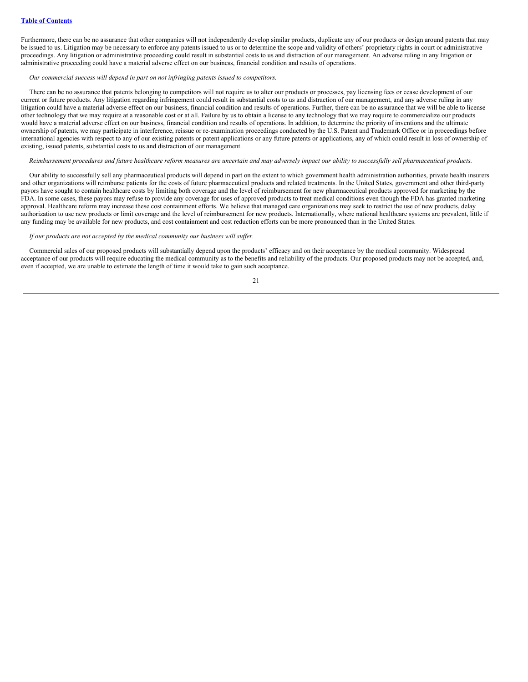Furthermore, there can be no assurance that other companies will not independently develop similar products, duplicate any of our products or design around patents that may be issued to us. Litigation may be necessary to enforce any patents issued to us or to determine the scope and validity of others' proprietary rights in court or administrative proceedings. Any litigation or administrative proceeding could result in substantial costs to us and distraction of our management. An adverse ruling in any litigation or administrative proceeding could have a material adverse effect on our business, financial condition and results of operations.

#### *Our commercial success will depend in part on not infringing patents issued to competitors.*

There can be no assurance that patents belonging to competitors will not require us to alter our products or processes, pay licensing fees or cease development of our current or future products. Any litigation regarding infringement could result in substantial costs to us and distraction of our management, and any adverse ruling in any litigation could have a material adverse effect on our business, financial condition and results of operations. Further, there can be no assurance that we will be able to license other technology that we may require at a reasonable cost or at all. Failure by us to obtain a license to any technology that we may require to commercialize our products would have a material adverse effect on our business, financial condition and results of operations. In addition, to determine the priority of inventions and the ultimate ownership of patents, we may participate in interference, reissue or re-examination proceedings conducted by the U.S. Patent and Trademark Office or in proceedings before international agencies with respect to any of our existing patents or patent applications or any future patents or applications, any of which could result in loss of ownership of existing, issued patents, substantial costs to us and distraction of our management.

#### Reimbursement procedures and future healthcare reform measures are uncertain and may adversely impact our ability to successfully sell pharmaceutical products.

Our ability to successfully sell any pharmaceutical products will depend in part on the extent to which government health administration authorities, private health insurers and other organizations will reimburse patients for the costs of future pharmaceutical products and related treatments. In the United States, government and other third-party payors have sought to contain healthcare costs by limiting both coverage and the level of reimbursement for new pharmaceutical products approved for marketing by the FDA. In some cases, these payors may refuse to provide any coverage for uses of approved products to treat medical conditions even though the FDA has granted marketing approval. Healthcare reform may increase these cost containment efforts. We believe that managed care organizations may seek to restrict the use of new products, delay authorization to use new products or limit coverage and the level of reimbursement for new products. Internationally, where national healthcare systems are prevalent, little if any funding may be available for new products, and cost containment and cost reduction efforts can be more pronounced than in the United States.

#### *If our products are not accepted by the medical community our business will suf er.*

Commercial sales of our proposed products will substantially depend upon the products' efficacy and on their acceptance by the medical community. Widespread acceptance of our products will require educating the medical community as to the benefits and reliability of the products. Our proposed products may not be accepted, and, even if accepted, we are unable to estimate the length of time it would take to gain such acceptance.

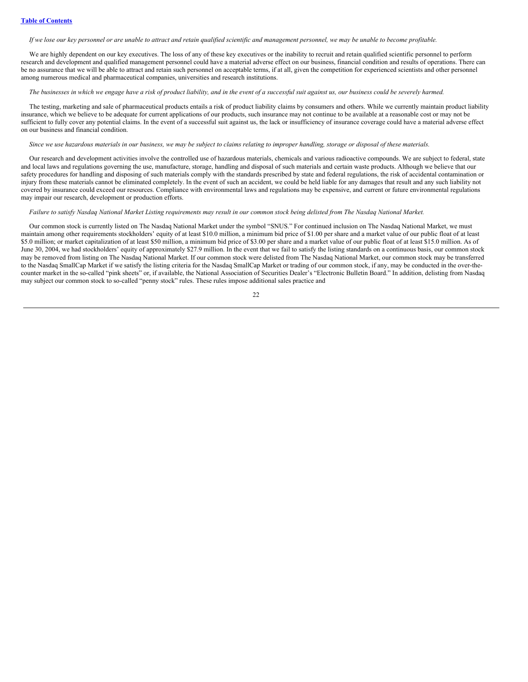If we lose our key personnel or are unable to attract and retain qualified scientific and management personnel, we may be unable to become profitable.

We are highly dependent on our key executives. The loss of any of these key executives or the inability to recruit and retain qualified scientific personnel to perform research and development and qualified management personnel could have a material adverse effect on our business, financial condition and results of operations. There can be no assurance that we will be able to attract and retain such personnel on acceptable terms, if at all, given the competition for experienced scientists and other personnel among numerous medical and pharmaceutical companies, universities and research institutions.

#### The businesses in which we engage have a risk of product liability, and in the event of a successful suit against us, our business could be severely harmed.

The testing, marketing and sale of pharmaceutical products entails a risk of product liability claims by consumers and others. While we currently maintain product liability insurance, which we believe to be adequate for current applications of our products, such insurance may not continue to be available at a reasonable cost or may not be sufficient to fully cover any potential claims. In the event of a successful suit against us, the lack or insufficiency of insurance coverage could have a material adverse effect on our business and financial condition.

#### Since we use hazardous materials in our business, we may be subject to claims relating to improper handling, storage or disposal of these materials.

Our research and development activities involve the controlled use of hazardous materials, chemicals and various radioactive compounds. We are subject to federal, state and local laws and regulations governing the use, manufacture, storage, handling and disposal of such materials and certain waste products. Although we believe that our safety procedures for handling and disposing of such materials comply with the standards prescribed by state and federal regulations, the risk of accidental contamination or injury from these materials cannot be eliminated completely. In the event of such an accident, we could be held liable for any damages that result and any such liability not covered by insurance could exceed our resources. Compliance with environmental laws and regulations may be expensive, and current or future environmental regulations may impair our research, development or production efforts.

## Failure to satisfy Nasdaq National Market Listing requirements may result in our common stock being delisted from The Nasdaq National Market.

Our common stock is currently listed on The Nasdaq National Market under the symbol "SNUS." For continued inclusion on The Nasdaq National Market, we must maintain among other requirements stockholders' equity of at least \$10.0 million, a minimum bid price of \$1.00 per share and a market value of our public float of at least \$5.0 million; or market capitalization of at least \$50 million, a minimum bid price of \$3.00 per share and a market value of our public float of at least \$15.0 million. As of June 30, 2004, we had stockholders' equity of approximately \$27.9 million. In the event that we fail to satisfy the listing standards on a continuous basis, our common stock may be removed from listing on The Nasdaq National Market. If our common stock were delisted from The Nasdaq National Market, our common stock may be transferred to the Nasdaq SmallCap Market if we satisfy the listing criteria for the Nasdaq SmallCap Market or trading of our common stock, if any, may be conducted in the over-thecounter market in the so-called "pink sheets" or, if available, the National Association of Securities Dealer's "Electronic Bulletin Board." In addition, delisting from Nasdaq may subject our common stock to so-called "penny stock" rules. These rules impose additional sales practice and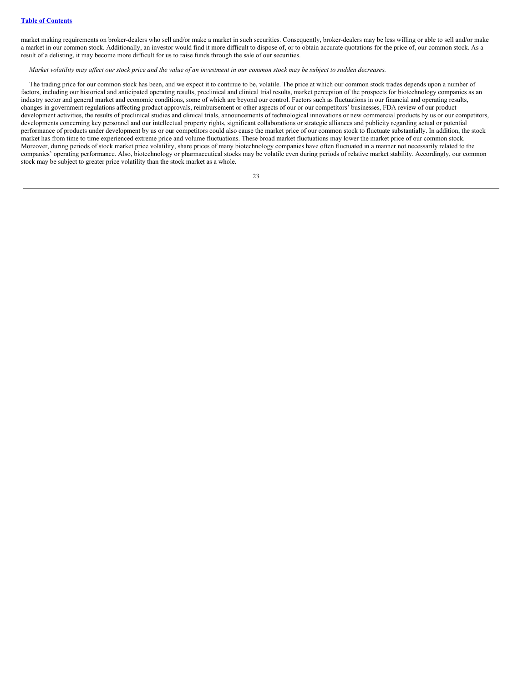market making requirements on broker-dealers who sell and/or make a market in such securities. Consequently, broker-dealers may be less willing or able to sell and/or make a market in our common stock. Additionally, an investor would find it more difficult to dispose of, or to obtain accurate quotations for the price of, our common stock. As a result of a delisting, it may become more difficult for us to raise funds through the sale of our securities.

Market volatility may affect our stock price and the value of an investment in our common stock may be subject to sudden decreases.

The trading price for our common stock has been, and we expect it to continue to be, volatile. The price at which our common stock trades depends upon a number of factors, including our historical and anticipated operating results, preclinical and clinical trial results, market perception of the prospects for biotechnology companies as an industry sector and general market and economic conditions, some of which are beyond our control. Factors such as fluctuations in our financial and operating results, changes in government regulations affecting product approvals, reimbursement or other aspects of our or our competitors' businesses, FDA review of our product development activities, the results of preclinical studies and clinical trials, announcements of technological innovations or new commercial products by us or our competitors, developments concerning key personnel and our intellectual property rights, significant collaborations or strategic alliances and publicity regarding actual or potential performance of products under development by us or our competitors could also cause the market price of our common stock to fluctuate substantially. In addition, the stock market has from time to time experienced extreme price and volume fluctuations. These broad market fluctuations may lower the market price of our common stock. Moreover, during periods of stock market price volatility, share prices of many biotechnology companies have often fluctuated in a manner not necessarily related to the companies' operating performance. Also, biotechnology or pharmaceutical stocks may be volatile even during periods of relative market stability. Accordingly, our common stock may be subject to greater price volatility than the stock market as a whole.

| ł |             |
|---|-------------|
|   | ı<br>ı<br>× |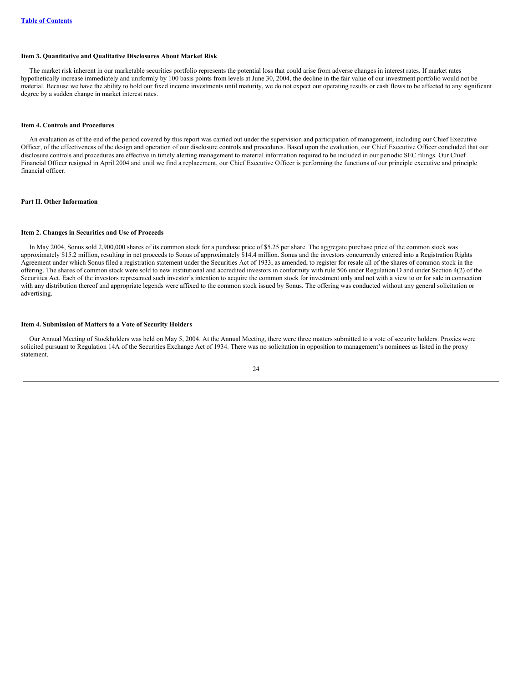#### <span id="page-23-0"></span>**Item 3. Quantitative and Qualitative Disclosures About Market Risk**

The market risk inherent in our marketable securities portfolio represents the potential loss that could arise from adverse changes in interest rates. If market rates hypothetically increase immediately and uniformly by 100 basis points from levels at June 30, 2004, the decline in the fair value of our investment portfolio would not be material. Because we have the ability to hold our fixed income investments until maturity, we do not expect our operating results or cash flows to be affected to any significant degree by a sudden change in market interest rates.

## <span id="page-23-1"></span>**Item 4. Controls and Procedures**

An evaluation as of the end of the period covered by this report was carried out under the supervision and participation of management, including our Chief Executive Officer, of the effectiveness of the design and operation of our disclosure controls and procedures. Based upon the evaluation, our Chief Executive Officer concluded that our disclosure controls and procedures are effective in timely alerting management to material information required to be included in our periodic SEC filings. Our Chief Financial Officer resigned in April 2004 and until we find a replacement, our Chief Executive Officer is performing the functions of our principle executive and principle financial officer.

#### <span id="page-23-3"></span><span id="page-23-2"></span>**Part II. Other Information**

#### **Item 2. Changes in Securities and Use of Proceeds**

In May 2004, Sonus sold 2,900,000 shares of its common stock for a purchase price of \$5.25 per share. The aggregate purchase price of the common stock was approximately \$15.2 million, resulting in net proceeds to Sonus of approximately \$14.4 million. Sonus and the investors concurrently entered into a Registration Rights Agreement under which Sonus filed a registration statement under the Securities Act of 1933, as amended, to register for resale all of the shares of common stock in the offering. The shares of common stock were sold to new institutional and accredited investors in conformity with rule 506 under Regulation D and under Section 4(2) of the Securities Act. Each of the investors represented such investor's intention to acquire the common stock for investment only and not with a view to or for sale in connection with any distribution thereof and appropriate legends were affixed to the common stock issued by Sonus. The offering was conducted without any general solicitation or advertising.

#### <span id="page-23-4"></span>**Item 4. Submission of Matters to a Vote of Security Holders**

Our Annual Meeting of Stockholders was held on May 5, 2004. At the Annual Meeting, there were three matters submitted to a vote of security holders. Proxies were solicited pursuant to Regulation 14A of the Securities Exchange Act of 1934. There was no solicitation in opposition to management's nominees as listed in the proxy statement.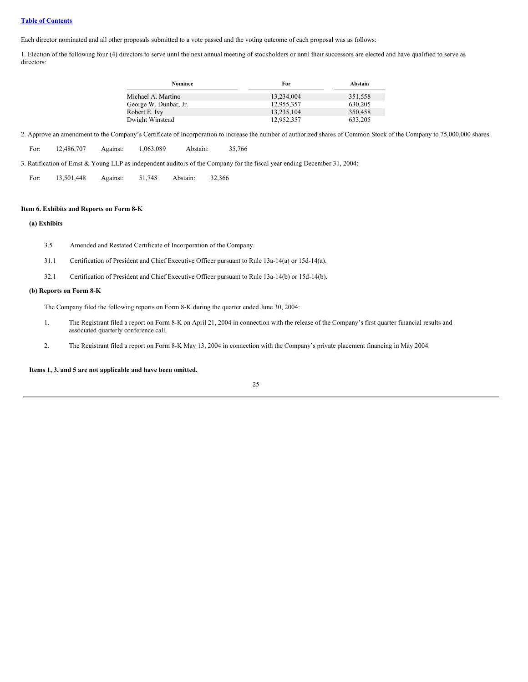#### **Table of [Contents](#page-0-0)**

Each director nominated and all other proposals submitted to a vote passed and the voting outcome of each proposal was as follows:

1. Election of the following four (4) directors to serve until the next annual meeting of stockholders or until their successors are elected and have qualified to serve as directors:

| Nominee               | For        | Abstain |
|-----------------------|------------|---------|
| Michael A. Martino    | 13.234.004 | 351,558 |
| George W. Dunbar, Jr. | 12.955.357 | 630.205 |
| Robert E. Ivy         | 13,235,104 | 350,458 |
| Dwight Winstead       | 12,952,357 | 633,205 |

2. Approve an amendment to the Company's Certificate of Incorporation to increase the number of authorized shares of Common Stock of the Company to 75,000,000 shares.

| For: | 12.486.707 | Against: | 1,063,089 | Abstain: | 35,766 |
|------|------------|----------|-----------|----------|--------|
|      |            |          |           |          |        |

3. Ratification of Ernst & Young LLP as independent auditors of the Company for the fiscal year ending December 31, 2004:

<span id="page-24-0"></span>

| For: | 13,501,448 | Against: | 51,748 | Abstain: | 32.366 |
|------|------------|----------|--------|----------|--------|
|      |            |          |        |          |        |

#### **Item 6. Exhibits and Reports on Form 8-K**

## **(a) Exhibits**

- 3.5 Amended and Restated Certificate of Incorporation of the Company.
- 31.1 Certification of President and Chief Executive Officer pursuant to Rule 13a-14(a) or 15d-14(a).
- 32.1 Certification of President and Chief Executive Officer pursuant to Rule 13a-14(b) or 15d-14(b).

#### **(b) Reports on Form 8-K**

The Company filed the following reports on Form 8-K during the quarter ended June 30, 2004:

- 1. The Registrant filed a report on Form 8-K on April 21, 2004 in connection with the release of the Company's first quarter financial results and associated quarterly conference call.
- 2. The Registrant filed a report on Form 8-K May 13, 2004 in connection with the Company's private placement financing in May 2004.

## <span id="page-24-1"></span>**Items 1, 3, and 5 are not applicable and have been omitted.**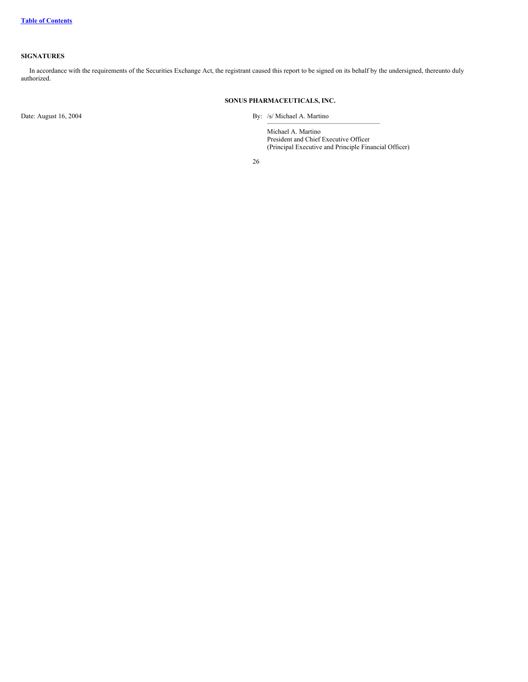## **SIGNATURES**

In accordance with the requirements of the Securities Exchange Act, the registrant caused this report to be signed on its behalf by the undersigned, thereunto duly authorized.

## **SONUS PHARMACEUTICALS, INC.**

Date: August 16, 2004 By: /s/ Michael A. Martino

Michael A. Martino President and Chief Executive Officer (Principal Executive and Principle Financial Officer)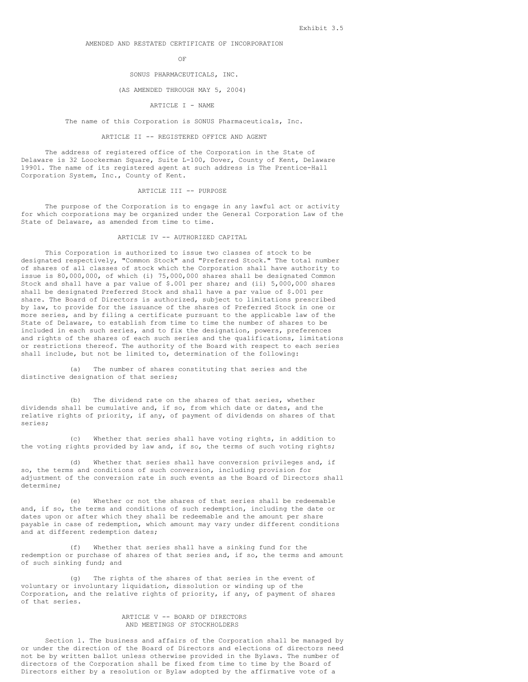#### AMENDED AND RESTATED CERTIFICATE OF INCORPORATION

OF

#### SONUS PHARMACEUTICALS, INC.

#### (AS AMENDED THROUGH MAY 5, 2004)

#### ARTICLE I - NAME

The name of this Corporation is SONUS Pharmaceuticals, Inc.

#### ARTICLE II -- REGISTERED OFFICE AND AGENT

The address of registered office of the Corporation in the State of Delaware is 32 Loockerman Square, Suite L-100, Dover, County of Kent, Delaware 19901. The name of its registered agent at such address is The Prentice-Hall Corporation System, Inc., County of Kent.

#### ARTICLE III -- PURPOSE

The purpose of the Corporation is to engage in any lawful act or activity for which corporations may be organized under the General Corporation Law of the State of Delaware, as amended from time to time.

#### ARTICLE IV -- AUTHORIZED CAPITAL

This Corporation is authorized to issue two classes of stock to be designated respectively, "Common Stock" and "Preferred Stock." The total number of shares of all classes of stock which the Corporation shall have authority to issue is 80,000,000, of which (i) 75,000,000 shares shall be designated Common Stock and shall have a par value of \$.001 per share; and (ii) 5,000,000 shares shall be designated Preferred Stock and shall have a par value of \$.001 per share. The Board of Directors is authorized, subject to limitations prescribed by law, to provide for the issuance of the shares of Preferred Stock in one or more series, and by filing a certificate pursuant to the applicable law of the State of Delaware, to establish from time to time the number of shares to be included in each such series, and to fix the designation, powers, preferences and rights of the shares of each such series and the qualifications, limitations or restrictions thereof. The authority of the Board with respect to each series shall include, but not be limited to, determination of the following:

(a) The number of shares constituting that series and the distinctive designation of that series;

(b) The dividend rate on the shares of that series, whether dividends shall be cumulative and, if so, from which date or dates, and the relative rights of priority, if any, of payment of dividends on shares of that series;

(c) Whether that series shall have voting rights, in addition to the voting rights provided by law and, if so, the terms of such voting rights;

(d) Whether that series shall have conversion privileges and, if so, the terms and conditions of such conversion, including provision for adjustment of the conversion rate in such events as the Board of Directors shall determine;

(e) Whether or not the shares of that series shall be redeemable and, if so, the terms and conditions of such redemption, including the date or dates upon or after which they shall be redeemable and the amount per share payable in case of redemption, which amount may vary under different conditions and at different redemption dates;

(f) Whether that series shall have a sinking fund for the redemption or purchase of shares of that series and, if so, the terms and amount of such sinking fund; and

(g) The rights of the shares of that series in the event of voluntary or involuntary liquidation, dissolution or winding up of the Corporation, and the relative rights of priority, if any, of payment of shares of that series.

#### ARTICLE V -- BOARD OF DIRECTORS AND MEETINGS OF STOCKHOLDERS

Section 1. The business and affairs of the Corporation shall be managed by or under the direction of the Board of Directors and elections of directors need not be by written ballot unless otherwise provided in the Bylaws. The number of directors of the Corporation shall be fixed from time to time by the Board of Directors either by a resolution or Bylaw adopted by the affirmative vote of a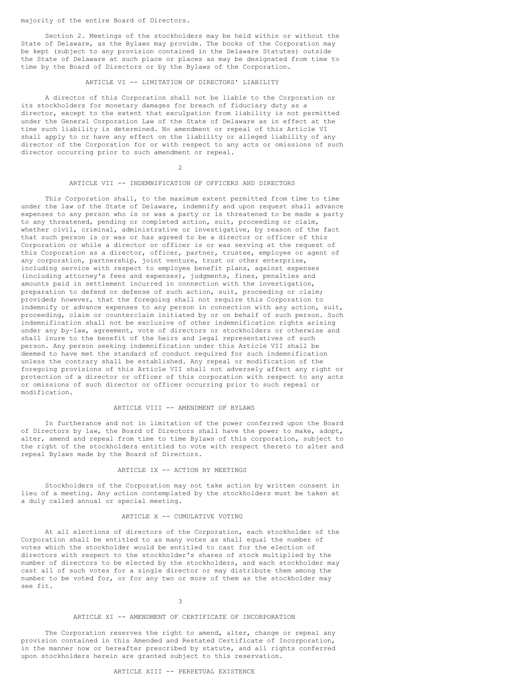<span id="page-27-0"></span>majority of the entire Board of Directors.

Section 2. Meetings of the stockholders may be held within or without the State of Delaware, as the Bylaws may provide. The books of the Corporation may be kept (subject to any provision contained in the Delaware Statutes) outside the State of Delaware at such place or places as may be designated from time to time by the Board of Directors or by the Bylaws of the Corporation.

#### ARTICLE VI -- LIMITATION OF DIRECTORS' LIABILITY

A director of this Corporation shall not be liable to the Corporation or its stockholders for monetary damages for breach of fiduciary duty as a director, except to the extent that exculpation from liability is not permitted under the General Corporation Law of the State of Delaware as in effect at the time such liability is determined. No amendment or repeal of this Article VI shall apply to or have any effect on the liability or alleged liability of any director of the Corporation for or with respect to any acts or omissions of such director occurring prior to such amendment or repeal.

 $\mathfrak{D}$ 

#### ARTICLE VII -- INDEMNIFICATION OF OFFICERS AND DIRECTORS

This Corporation shall, to the maximum extent permitted from time to time under the law of the State of Delaware, indemnify and upon request shall advance expenses to any person who is or was a party or is threatened to be made a party to any threatened, pending or completed action, suit, proceeding or claim, whether civil, criminal, administrative or investigative, by reason of the fact that such person is or was or has agreed to be a director or officer of this Corporation or while a director or officer is or was serving at the request of this Corporation as a director, officer, partner, trustee, employee or agent of any corporation, partnership, joint venture, trust or other enterprise, including service with respect to employee benefit plans, against expenses (including attorney's fees and expenses), judgments, fines, penalties and amounts paid in settlement incurred in connection with the investigation, preparation to defend or defense of such action, suit, proceeding or claim; provided; however, that the foregoing shall not require this Corporation to indemnify or advance expenses to any person in connection with any action, suit, proceeding, claim or counterclaim initiated by or on behalf of such person. Such indemnification shall not be exclusive of other indemnification rights arising under any by-law, agreement, vote of directors or stockholders or otherwise and shall inure to the benefit of the heirs and legal representatives of such person. Any person seeking indemnification under this Article VII shall be deemed to have met the standard of conduct required for such indemnification unless the contrary shall be established. Any repeal or modification of the foregoing provisions of this Article VII shall not adversely affect any right or protection of a director or officer of this corporation with respect to any acts or omissions of such director or officer occurring prior to such repeal or modification.

#### ARTICLE VIII -- AMENDMENT OF BYLAWS

In furtherance and not in limitation of the power conferred upon the Board of Directors by law, the Board of Directors shall have the power to make, adopt, alter, amend and repeal from time to time Bylaws of this corporation, subject to the right of the stockholders entitled to vote with respect thereto to alter and repeal Bylaws made by the Board of Directors.

#### ARTICLE IX -- ACTION BY MEETINGS

Stockholders of the Corporation may not take action by written consent in lieu of a meeting. Any action contemplated by the stockholders must be taken at a duly called annual or special meeting.

#### ARTICLE X -- CUMULATIVE VOTING

At all elections of directors of the Corporation, each stockholder of the Corporation shall be entitled to as many votes as shall equal the number of votes which the stockholder would be entitled to cast for the election of directors with respect to the stockholder's shares of stock multiplied by the number of directors to be elected by the stockholders, and each stockholder may cast all of such votes for a single director or may distribute them among the number to be voted for, or for any two or more of them as the stockholder may see fit.

#### 3

#### ARTICLE XI -- AMENDMENT OF CERTIFICATE OF INCORPORATION

The Corporation reserves the right to amend, alter, change or repeal any provision contained in this Amended and Restated Certificate of Incorporation, in the manner now or hereafter prescribed by statute, and all rights conferred upon stockholders herein are granted subject to this reservation.

## ARTICLE XIII -- PERPETUAL EXISTENCE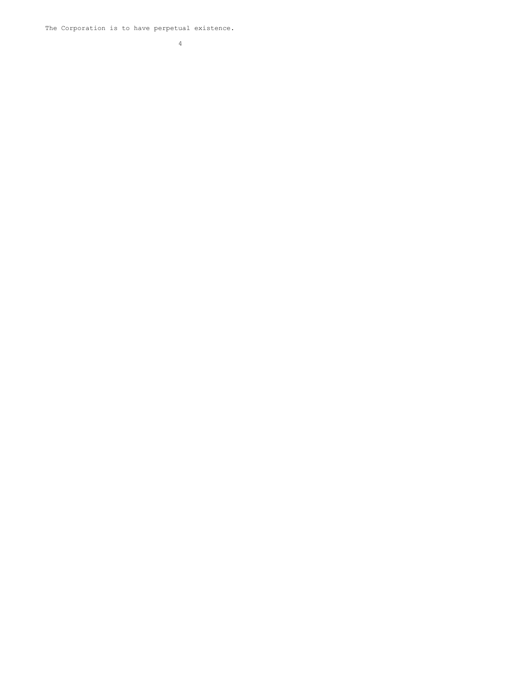The Corporation is to have perpetual existence.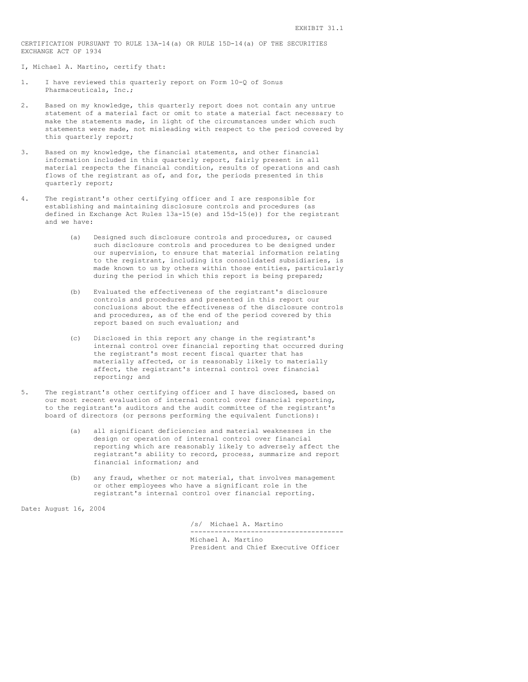<span id="page-29-0"></span>CERTIFICATION PURSUANT TO RULE 13A-14(a) OR RULE 15D-14(a) OF THE SECURITIES EXCHANGE ACT OF 1934

I, Michael A. Martino, certify that:

- 1. I have reviewed this quarterly report on Form 10-Q of Sonus Pharmaceuticals, Inc.;
- 2. Based on my knowledge, this quarterly report does not contain any untrue statement of a material fact or omit to state a material fact necessary to make the statements made, in light of the circumstances under which such statements were made, not misleading with respect to the period covered by this quarterly report;
- 3. Based on my knowledge, the financial statements, and other financial information included in this quarterly report, fairly present in all material respects the financial condition, results of operations and cash flows of the registrant as of, and for, the periods presented in this quarterly report;
- 4. The registrant's other certifying officer and I are responsible for establishing and maintaining disclosure controls and procedures (as defined in Exchange Act Rules 13a-15(e) and 15d-15(e)) for the registrant and we have:
	- (a) Designed such disclosure controls and procedures, or caused such disclosure controls and procedures to be designed under our supervision, to ensure that material information relating to the registrant, including its consolidated subsidiaries, is made known to us by others within those entities, particularly during the period in which this report is being prepared;
	- (b) Evaluated the effectiveness of the registrant's disclosure controls and procedures and presented in this report our conclusions about the effectiveness of the disclosure controls and procedures, as of the end of the period covered by this report based on such evaluation; and
	- (c) Disclosed in this report any change in the registrant's internal control over financial reporting that occurred during the registrant's most recent fiscal quarter that has materially affected, or is reasonably likely to materially affect, the registrant's internal control over financial reporting; and
- 5. The registrant's other certifying officer and I have disclosed, based on our most recent evaluation of internal control over financial reporting, to the registrant's auditors and the audit committee of the registrant's board of directors (or persons performing the equivalent functions):
	- (a) all significant deficiencies and material weaknesses in the design or operation of internal control over financial reporting which are reasonably likely to adversely affect the registrant's ability to record, process, summarize and report financial information; and
	- (b) any fraud, whether or not material, that involves management or other employees who have a significant role in the registrant's internal control over financial reporting.

Date: August 16, 2004

/s/ Michael A. Martino

-------------------------------------- Michael A. Martino

President and Chief Executive Officer